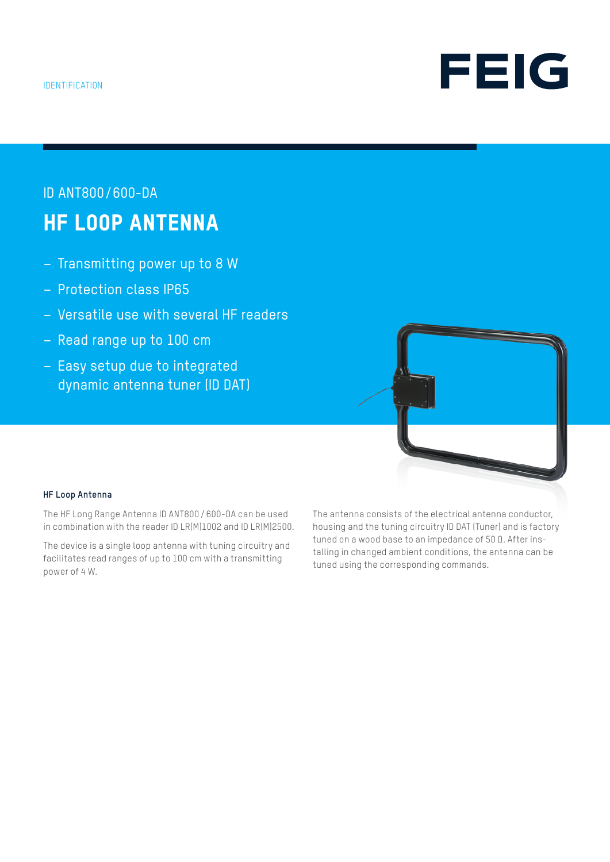

# ID ANT800/600-DA HF LOOP ANTENNA

- Transmitting power up to 8 W
- Protection class IP65
- Versatile use with several HF readers
- Read range up to 100 cm
- Easy setup due to integrated dynamic antenna tuner (ID DAT)

![](_page_0_Picture_8.jpeg)

#### **HF Loop Antenna**

The HF Long Range Antenna ID ANT800 / 600-DA can be used in combination with the reader ID LR(M)1002 and ID LR(M)2500.

The device is a single loop antenna with tuning circuitry and facilitates read ranges of up to 100 cm with a transmitting power of 4 W.

The antenna consists of the electrical antenna conductor, housing and the tuning circuitry ID DAT (Tuner) and is factory tuned on a wood base to an impedance of 50 Ω. After installing in changed ambient conditions, the antenna can be tuned using the corresponding commands.